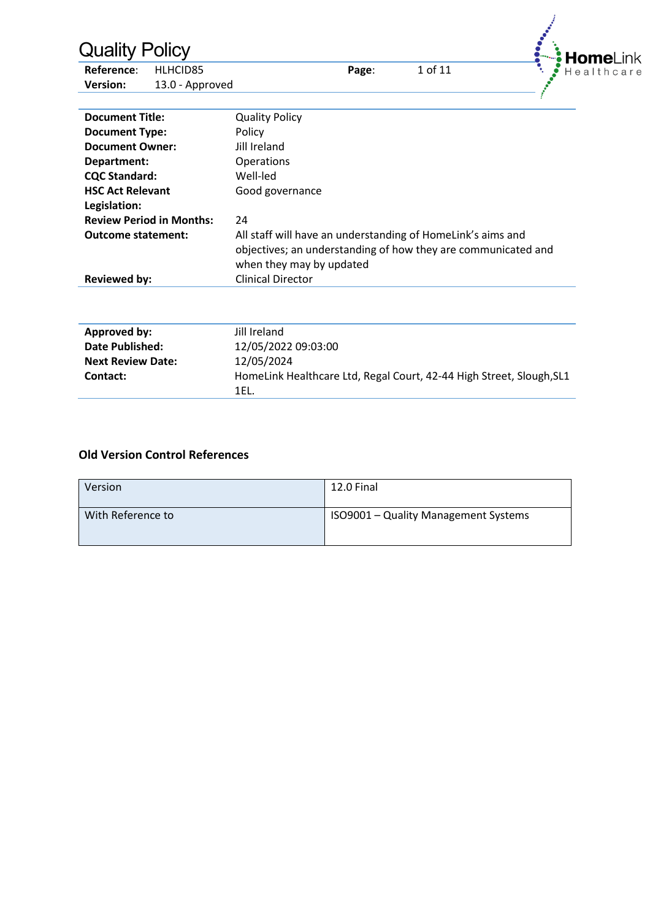| <b>Quality Policy</b><br>Reference:<br><b>Version:</b>         | HLHCID85<br>13.0 - Approved | HomeLi<br>1 of 11<br>Page:<br>Healthcare                                                                                                                 |  |  |  |  |
|----------------------------------------------------------------|-----------------------------|----------------------------------------------------------------------------------------------------------------------------------------------------------|--|--|--|--|
| <b>Document Title:</b>                                         |                             | <b>Quality Policy</b><br>Policy                                                                                                                          |  |  |  |  |
| <b>Document Type:</b><br><b>Document Owner:</b><br>Department: |                             | Jill Ireland<br>Operations                                                                                                                               |  |  |  |  |
| <b>CQC Standard:</b><br><b>HSC Act Relevant</b>                |                             | Well-led<br>Good governance                                                                                                                              |  |  |  |  |
| Legislation:<br><b>Review Period in Months:</b>                |                             | 24                                                                                                                                                       |  |  |  |  |
| <b>Outcome statement:</b>                                      |                             | All staff will have an understanding of HomeLink's aims and<br>objectives; an understanding of how they are communicated and<br>when they may by updated |  |  |  |  |
| <b>Reviewed by:</b>                                            |                             | <b>Clinical Director</b>                                                                                                                                 |  |  |  |  |
| <b>Approved by:</b>                                            |                             | Jill Ireland                                                                                                                                             |  |  |  |  |
| <b>Date Published:</b><br><b>Next Review Date:</b><br>Contact: |                             | 12/05/2022 09:03:00<br>12/05/2024<br>HomeLink Healthcare Ltd, Regal Court, 42-44 High Street, Slough, SL1                                                |  |  |  |  |
|                                                                |                             | 1EL.                                                                                                                                                     |  |  |  |  |

### **Old Version Control References**

| Version           | 12.0 Final                           |
|-------------------|--------------------------------------|
| With Reference to | ISO9001 - Quality Management Systems |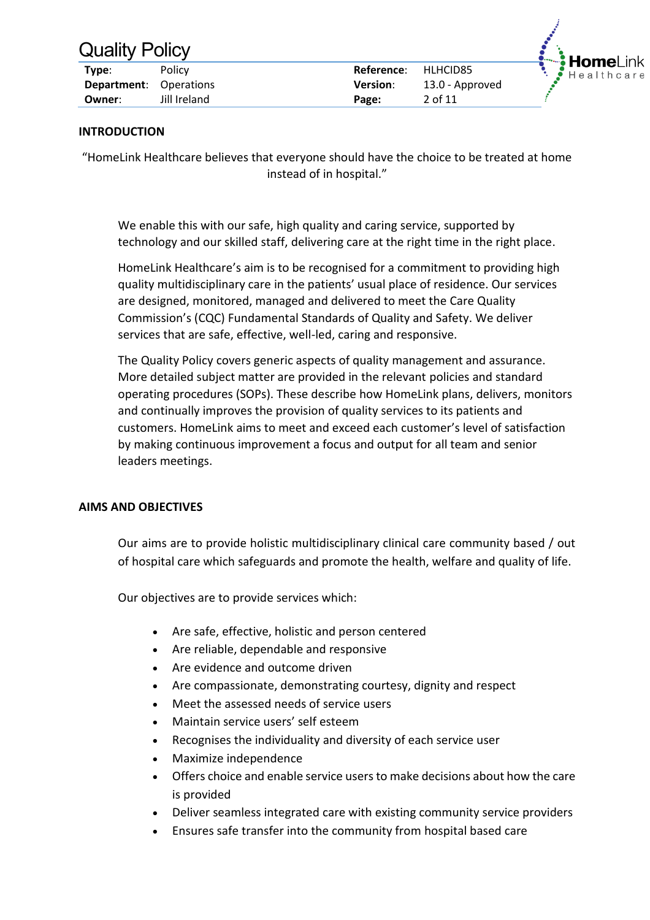| Type:                         | Policy       | Reference:      | HLHCID85        |
|-------------------------------|--------------|-----------------|-----------------|
| <b>Department:</b> Operations |              | <b>Version:</b> | 13.0 - Approved |
| Owner:                        | Jill Ireland | Page:           | 2 of 11         |



### **INTRODUCTION**

"HomeLink Healthcare believes that everyone should have the choice to be treated at home instead of in hospital."

We enable this with our safe, high quality and caring service, supported by technology and our skilled staff, delivering care at the right time in the right place.

HomeLink Healthcare's aim is to be recognised for a commitment to providing high quality multidisciplinary care in the patients' usual place of residence. Our services are designed, monitored, managed and delivered to meet the Care Quality Commission's (CQC) Fundamental Standards of Quality and Safety. We deliver services that are safe, effective, well-led, caring and responsive.

The Quality Policy covers generic aspects of quality management and assurance. More detailed subject matter are provided in the relevant policies and standard operating procedures (SOPs). These describe how HomeLink plans, delivers, monitors and continually improves the provision of quality services to its patients and customers. HomeLink aims to meet and exceed each customer's level of satisfaction by making continuous improvement a focus and output for all team and senior leaders meetings.

### **AIMS AND OBJECTIVES**

Our aims are to provide holistic multidisciplinary clinical care community based / out of hospital care which safeguards and promote the health, welfare and quality of life.

Our objectives are to provide services which:

- Are safe, effective, holistic and person centered
- Are reliable, dependable and responsive
- Are evidence and outcome driven
- Are compassionate, demonstrating courtesy, dignity and respect
- Meet the assessed needs of service users
- Maintain service users' self esteem
- Recognises the individuality and diversity of each service user
- Maximize independence
- Offers choice and enable service users to make decisions about how the care is provided
- Deliver seamless integrated care with existing community service providers
- Ensures safe transfer into the community from hospital based care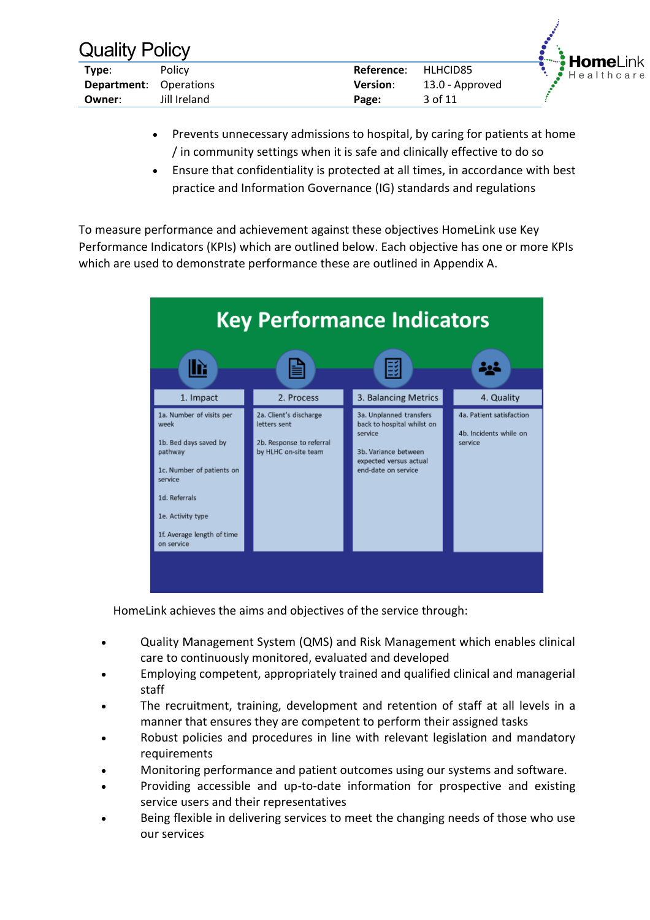| <b>Quality Policy</b>         |              |                 |                 |
|-------------------------------|--------------|-----------------|-----------------|
| Type:                         | Policy       | Reference:      | HLHCID85        |
| <b>Department:</b> Operations |              | <b>Version:</b> | 13.0 - Approved |
| Owner:                        | Jill Ireland | Page:           | 3 of 11         |
|                               |              |                 |                 |

• Prevents unnecessary admissions to hospital, by caring for patients at home / in community settings when it is safe and clinically effective to do so

Home Healthcare

• Ensure that confidentiality is protected at all times, in accordance with best practice and Information Governance (IG) standards and regulations

To measure performance and achievement against these objectives HomeLink use Key Performance Indicators (KPIs) which are outlined below. Each objective has one or more KPIs which are used to demonstrate performance these are outlined in Appendix A.



HomeLink achieves the aims and objectives of the service through:

- Quality Management System (QMS) and Risk Management which enables clinical care to continuously monitored, evaluated and developed
- Employing competent, appropriately trained and qualified clinical and managerial staff
- The recruitment, training, development and retention of staff at all levels in a manner that ensures they are competent to perform their assigned tasks
- Robust policies and procedures in line with relevant legislation and mandatory requirements
- Monitoring performance and patient outcomes using our systems and software.
- Providing accessible and up-to-date information for prospective and existing service users and their representatives
- Being flexible in delivering services to meet the changing needs of those who use our services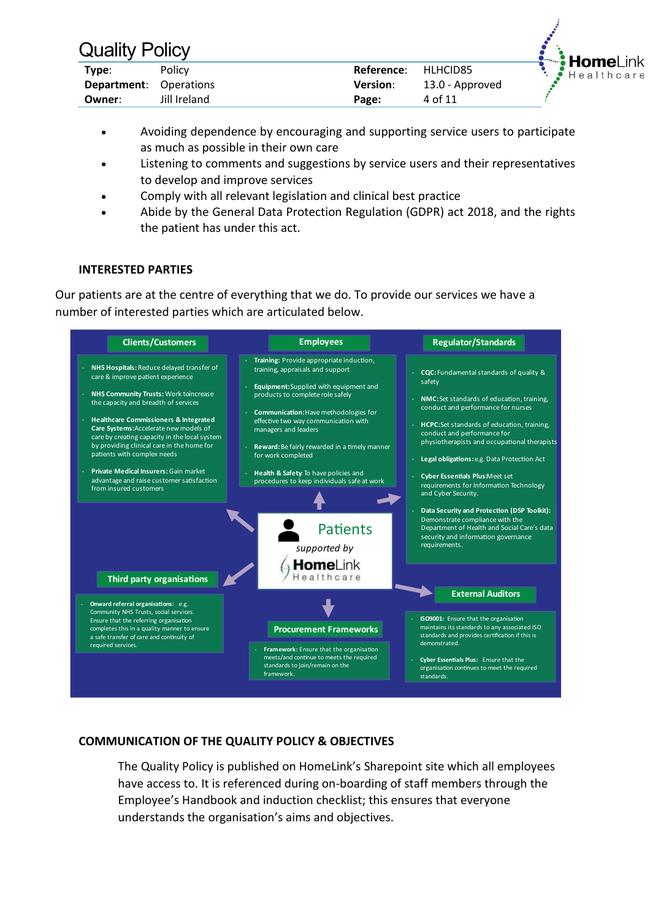| Type:                         | <b>Policy</b> | Reference:      | HLHCID85        |
|-------------------------------|---------------|-----------------|-----------------|
| <b>Department:</b> Operations |               | <b>Version:</b> | 13.0 - Approved |
| Owner:                        | Jill Ireland  | Page:           | 4 of 11         |



- Avoiding dependence by encouraging and supporting service users to participate as much as possible in their own care
- Listening to comments and suggestions by service users and their representatives to develop and improve services
- Comply with all relevant legislation and clinical best practice
- Abide by the General Data Protection Regulation (GDPR) act 2018, and the rights the patient has under this act.

### **INTERESTED PARTIES**

Our patients are at the centre of everything that we do. To provide our services we have a number of interested parties which are articulated below.

| <b>Clients/Customers</b>                                                                                                                                                                                                                                                                                                                                                                                                                                                                                           | <b>Employees</b>                                                                                                                                                                                                                                                                                                                                                                                                                   | <b>Regulator/Standards</b>                                                                                                                                                                                                                                                                                                                                                                                                                                                          |
|--------------------------------------------------------------------------------------------------------------------------------------------------------------------------------------------------------------------------------------------------------------------------------------------------------------------------------------------------------------------------------------------------------------------------------------------------------------------------------------------------------------------|------------------------------------------------------------------------------------------------------------------------------------------------------------------------------------------------------------------------------------------------------------------------------------------------------------------------------------------------------------------------------------------------------------------------------------|-------------------------------------------------------------------------------------------------------------------------------------------------------------------------------------------------------------------------------------------------------------------------------------------------------------------------------------------------------------------------------------------------------------------------------------------------------------------------------------|
| NHS Hospitals: Reduce delayed transfer of<br>care & improve patient experience<br><b>NHS Community Trusts: Work toincrease</b><br>the capacity and breadth of services<br><b>Healthcare Commissioners &amp; Integrated</b><br>Care Systems: Accelerate new models of<br>care by creating capacity in the local system<br>by providing clinical care in the home for<br>patients with complex needs<br>Private Medical Insurers: Gain market<br>advantage and raise customer satisfaction<br>from insured customers | Training: Provide appropriate induction,<br>training, appraisals and support<br>Equipment: Supplied with equipment and<br>products to complete role safely<br>Communication: Have methodologies for<br>effective two way communication with<br>managers and leaders<br>Reward: Be fairly rewarded in a timely manner<br>for work completed<br>Health & Safety. To have policies and<br>procedures to keep individuals safe at work | CQC: Fundamental standards of quality &<br>safety<br>NMC: Set standards of education, training,<br>conduct and performance for nurses<br><b>HCPC:</b> Set standards of education, training,<br>conduct and performance for<br>physiotherapists and occupational therapists<br>Legal obligations: e.g. Data Protection Act<br><b>Cyber Essentials Plus Meet set</b><br>requirements for Information Technology<br>and Cyber Security.<br>Data Security and Protection (DSP Toolkit): |
| Third party organisations                                                                                                                                                                                                                                                                                                                                                                                                                                                                                          | <b>Patients</b><br>supported by<br>HomeLink<br>ealthcare                                                                                                                                                                                                                                                                                                                                                                           | Demonstrate compliance with the<br>Department of Health and Social Care's data<br>security and information governance<br>requirements.                                                                                                                                                                                                                                                                                                                                              |
| Onward referral organisations: e.g.<br>Community NHS Trusts, social services.<br>Ensure that the referring organisation                                                                                                                                                                                                                                                                                                                                                                                            |                                                                                                                                                                                                                                                                                                                                                                                                                                    | <b>External Auditors</b><br>ISO9001: Ensure that the organisation                                                                                                                                                                                                                                                                                                                                                                                                                   |
| completes this in a quality manner to ensure<br>a safe transfer of care and continuity of<br>required services.                                                                                                                                                                                                                                                                                                                                                                                                    | <b>Procurement Frameworks</b><br>Framework: Ensure that the organisation<br>meets/and continue to meets the required                                                                                                                                                                                                                                                                                                               | maintains its standards to any associated ISO<br>standards and provides certification if this is<br>demonstrated.<br>Cyber Essentials Plus: Ensure that the                                                                                                                                                                                                                                                                                                                         |
|                                                                                                                                                                                                                                                                                                                                                                                                                                                                                                                    | standards to join/remain on the<br>framework.                                                                                                                                                                                                                                                                                                                                                                                      | organisation continues to meet the required<br>standards.                                                                                                                                                                                                                                                                                                                                                                                                                           |

### **COMMUNICATION OF THE QUALITY POLICY & OBJECTIVES**

The Quality Policy is published on HomeLink's Sharepoint site which all employees have access to. It is referenced during on-boarding of staff members through the Employee's Handbook and induction checklist; this ensures that everyone understands the organisation's aims and objectives.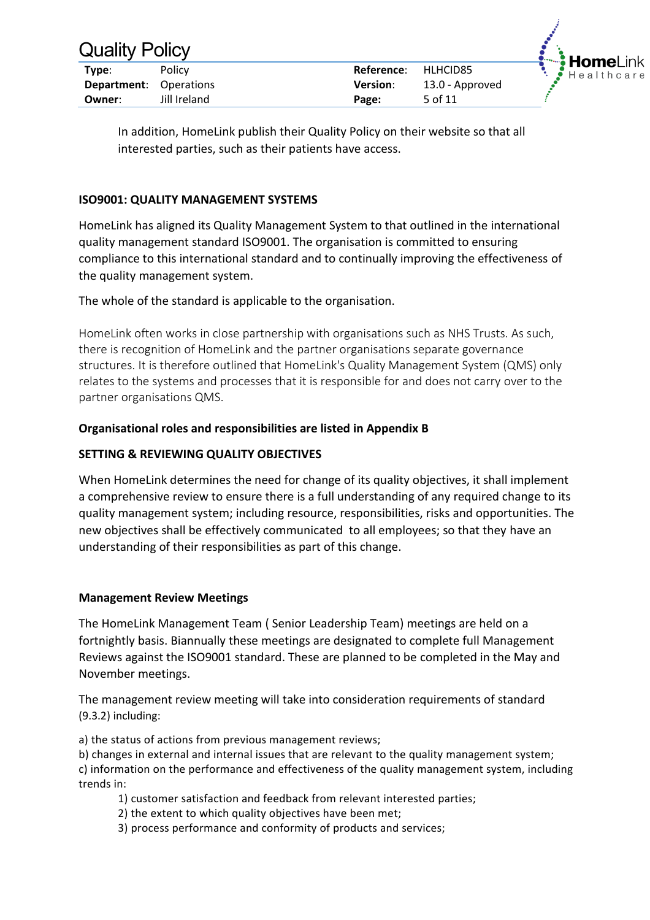| <b>Quality Policy</b>         |              |                 |                 |  |
|-------------------------------|--------------|-----------------|-----------------|--|
| Type:                         | Policy       | Reference:      | HLHCID85        |  |
| <b>Department:</b> Operations |              | <b>Version:</b> | 13.0 - Approved |  |
| Owner:                        | Jill Ireland | Page:           | 5 of 11         |  |



In addition, HomeLink publish their Quality Policy on their website so that all interested parties, such as their patients have access.

### **ISO9001: QUALITY MANAGEMENT SYSTEMS**

HomeLink has aligned its Quality Management System to that outlined in the international quality management standard ISO9001. The organisation is committed to ensuring compliance to this international standard and to continually improving the effectiveness of the quality management system.

The whole of the standard is applicable to the organisation.

HomeLink often works in close partnership with organisations such as NHS Trusts. As such, there is recognition of HomeLink and the partner organisations separate governance structures. It is therefore outlined that HomeLink's Quality Management System (QMS) only relates to the systems and processes that it is responsible for and does not carry over to the partner organisations QMS.

### **Organisational roles and responsibilities are listed in Appendix B**

### **SETTING & REVIEWING QUALITY OBJECTIVES**

When HomeLink determines the need for change of its quality objectives, it shall implement a comprehensive review to ensure there is a full understanding of any required change to its quality management system; including resource, responsibilities, risks and opportunities. The new objectives shall be effectively communicated to all employees; so that they have an understanding of their responsibilities as part of this change.

### **Management Review Meetings**

The HomeLink Management Team ( Senior Leadership Team) meetings are held on a fortnightly basis. Biannually these meetings are designated to complete full Management Reviews against the ISO9001 standard. These are planned to be completed in the May and November meetings.

The management review meeting will take into consideration requirements of standard (9.3.2) including:

a) the status of actions from previous management reviews;

b) changes in external and internal issues that are relevant to the quality management system; c) information on the performance and effectiveness of the quality management system, including trends in:

- 1) customer satisfaction and feedback from relevant interested parties;
- 2) the extent to which quality objectives have been met;
- 3) process performance and conformity of products and services;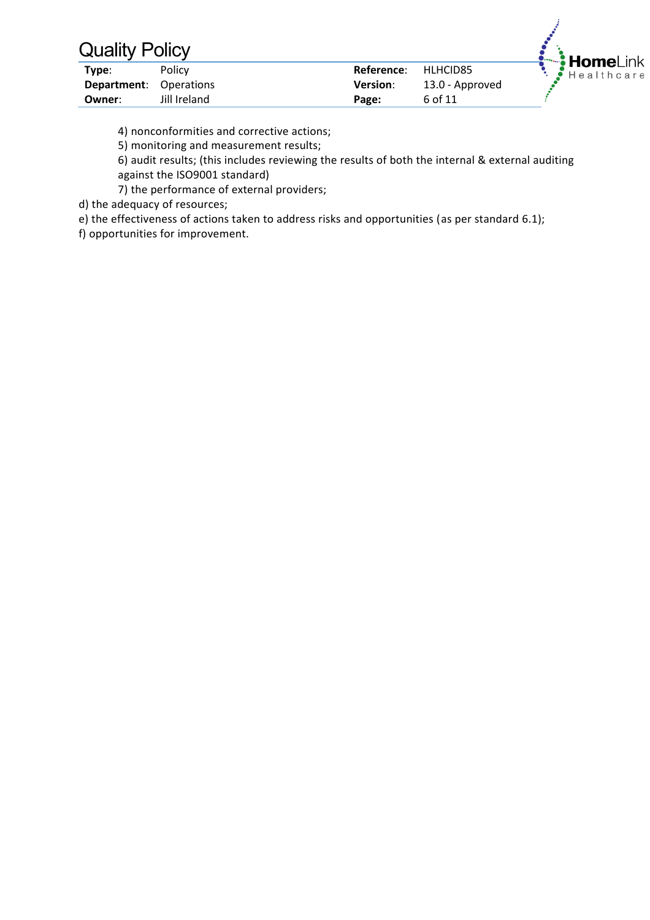| Type:                         | Policy       | Reference:      | HLHCID85        |
|-------------------------------|--------------|-----------------|-----------------|
| <b>Department:</b> Operations |              | <b>Version:</b> | 13.0 - Approved |
| Owner:                        | Jill Ireland | Page:           | 6 of 11         |



4) nonconformities and corrective actions;

5) monitoring and measurement results;

6) audit results; (this includes reviewing the results of both the internal & external auditing against the ISO9001 standard)

7) the performance of external providers;

d) the adequacy of resources;

e) the effectiveness of actions taken to address risks and opportunities (as per standard 6.1);

f) opportunities for improvement.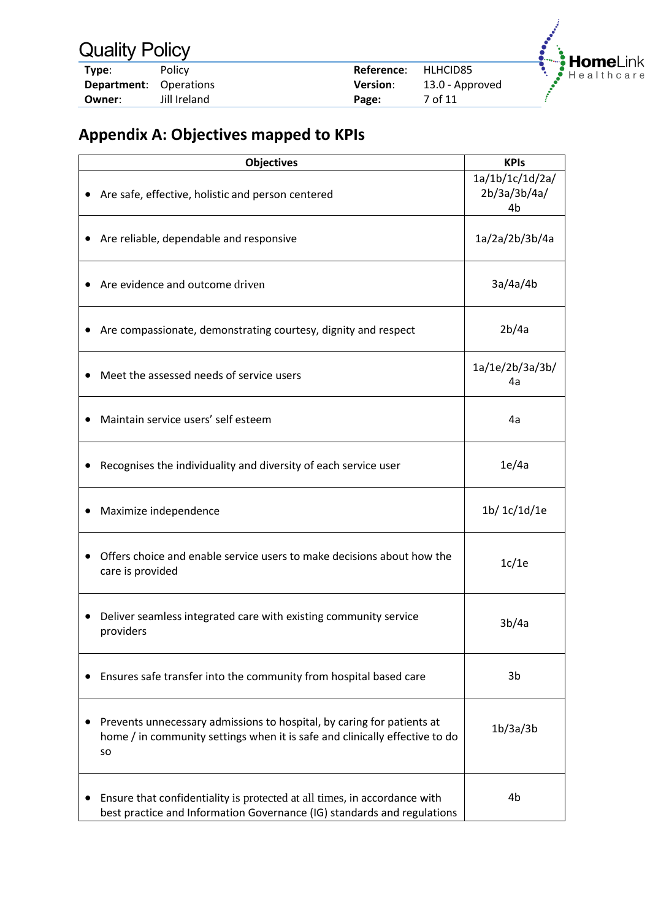| Type:                         | <b>Policy</b> | Reference:      | HLHCID85        |
|-------------------------------|---------------|-----------------|-----------------|
| <b>Department:</b> Operations |               | <b>Version:</b> | 13.0 - Approved |
| Owner:                        | Jill Ireland  | Page:           | 7 of 11         |



# **Appendix A: Objectives mapped to KPIs**

| <b>Objectives</b>                                                                                                                                                  | <b>KPIs</b>                           |
|--------------------------------------------------------------------------------------------------------------------------------------------------------------------|---------------------------------------|
| Are safe, effective, holistic and person centered                                                                                                                  | 1a/1b/1c/1d/2a/<br>2b/3a/3b/4a/<br>4b |
| Are reliable, dependable and responsive                                                                                                                            | 1a/2a/2b/3b/4a                        |
| Are evidence and outcome driven                                                                                                                                    | 3a/4a/4b                              |
| Are compassionate, demonstrating courtesy, dignity and respect                                                                                                     | 2b/4a                                 |
| Meet the assessed needs of service users                                                                                                                           | 1a/1e/2b/3a/3b/<br>4a                 |
| Maintain service users' self esteem                                                                                                                                | 4a                                    |
| Recognises the individuality and diversity of each service user                                                                                                    | 1e/4a                                 |
| Maximize independence                                                                                                                                              | 1b/ 1c/1d/1e                          |
| Offers choice and enable service users to make decisions about how the<br>care is provided                                                                         | 1c/1e                                 |
| Deliver seamless integrated care with existing community service<br>$\bullet$<br>providers                                                                         | 3b/4a                                 |
| Ensures safe transfer into the community from hospital based care                                                                                                  | 3b                                    |
| Prevents unnecessary admissions to hospital, by caring for patients at<br>home / in community settings when it is safe and clinically effective to do<br><b>SO</b> | 1b/3a/3b                              |
| Ensure that confidentiality is protected at all times, in accordance with<br>best practice and Information Governance (IG) standards and regulations               | 4b                                    |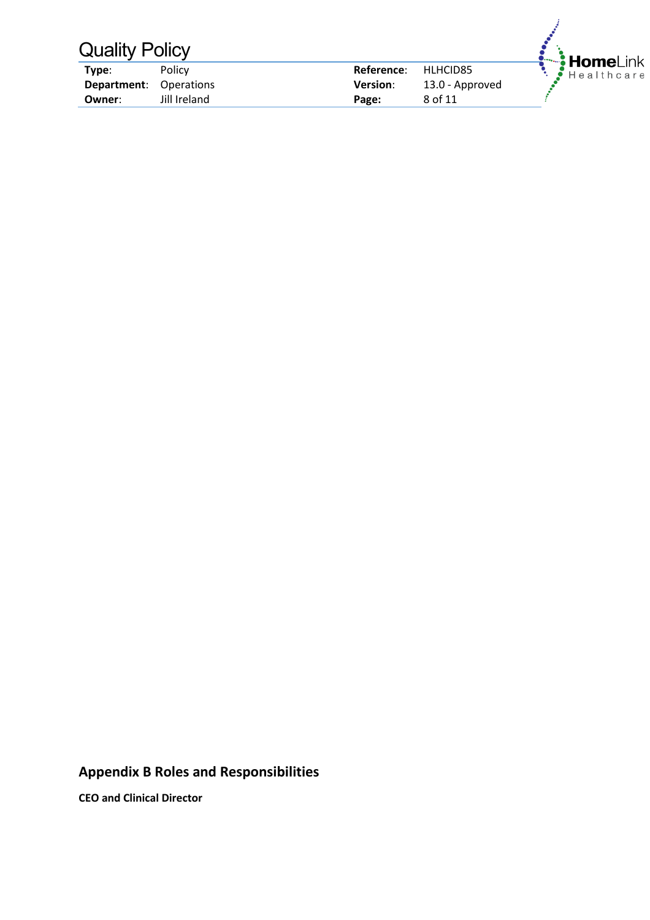| <b>Quality Policy</b> |                   |                 |                 |          |
|-----------------------|-------------------|-----------------|-----------------|----------|
| Type:                 | Policy            | Reference:      | HLHCID85        | HomeLink |
| Department:           | <b>Operations</b> | <b>Version:</b> | 13.0 - Approved |          |
| Owner:                | Jill Ireland      | Page:           | 8 of 11         |          |

## **Appendix B Roles and Responsibilities**

**CEO and Clinical Director**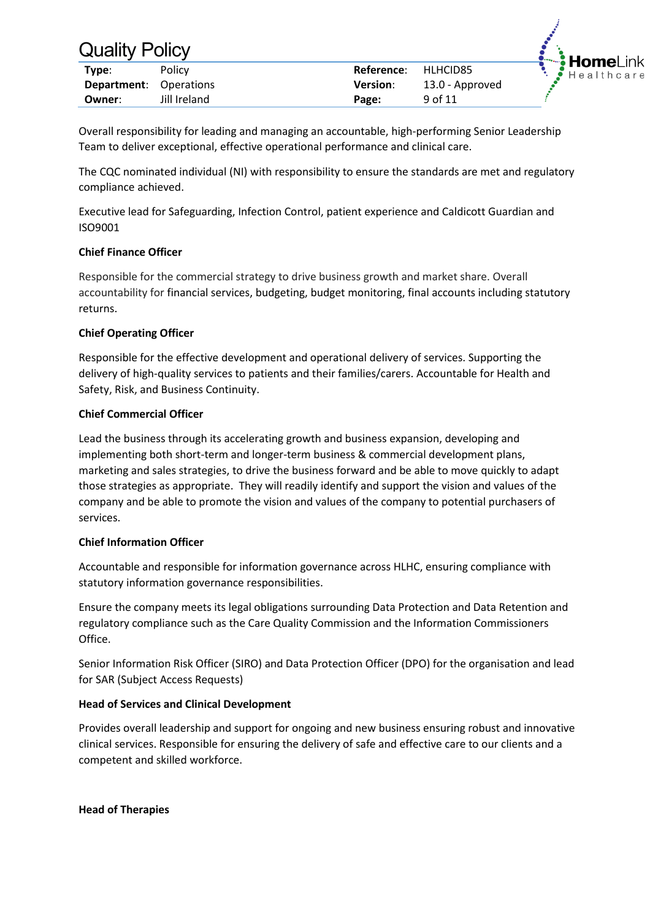| Type:                         | <b>Policy</b> | Reference:      | HLHCID85        |
|-------------------------------|---------------|-----------------|-----------------|
| <b>Department:</b> Operations |               | <b>Version:</b> | 13.0 - Approved |
| Owner:                        | Jill Ireland  | Page:           | 9 of 11         |



Overall responsibility for leading and managing an accountable, high-performing Senior Leadership Team to deliver exceptional, effective operational performance and clinical care.

The CQC nominated individual (NI) with responsibility to ensure the standards are met and regulatory compliance achieved.

Executive lead for Safeguarding, Infection Control, patient experience and Caldicott Guardian and ISO9001

### **Chief Finance Officer**

Responsible for the commercial strategy to drive business growth and market share. Overall accountability for financial services, budgeting, budget monitoring, final accounts including statutory returns.

### **Chief Operating Officer**

Responsible for the effective development and operational delivery of services. Supporting the delivery of high-quality services to patients and their families/carers. Accountable for Health and Safety, Risk, and Business Continuity.

### **Chief Commercial Officer**

Lead the business through its accelerating growth and business expansion, developing and implementing both short-term and longer-term business & commercial development plans, marketing and sales strategies, to drive the business forward and be able to move quickly to adapt those strategies as appropriate. They will readily identify and support the vision and values of the company and be able to promote the vision and values of the company to potential purchasers of services.

### **Chief Information Officer**

Accountable and responsible for information governance across HLHC, ensuring compliance with statutory information governance responsibilities.

Ensure the company meets its legal obligations surrounding Data Protection and Data Retention and regulatory compliance such as the Care Quality Commission and the Information Commissioners Office.

Senior Information Risk Officer (SIRO) and Data Protection Officer (DPO) for the organisation and lead for SAR (Subject Access Requests)

### **Head of Services and Clinical Development**

Provides overall leadership and support for ongoing and new business ensuring robust and innovative clinical services. Responsible for ensuring the delivery of safe and effective care to our clients and a competent and skilled workforce.

**Head of Therapies**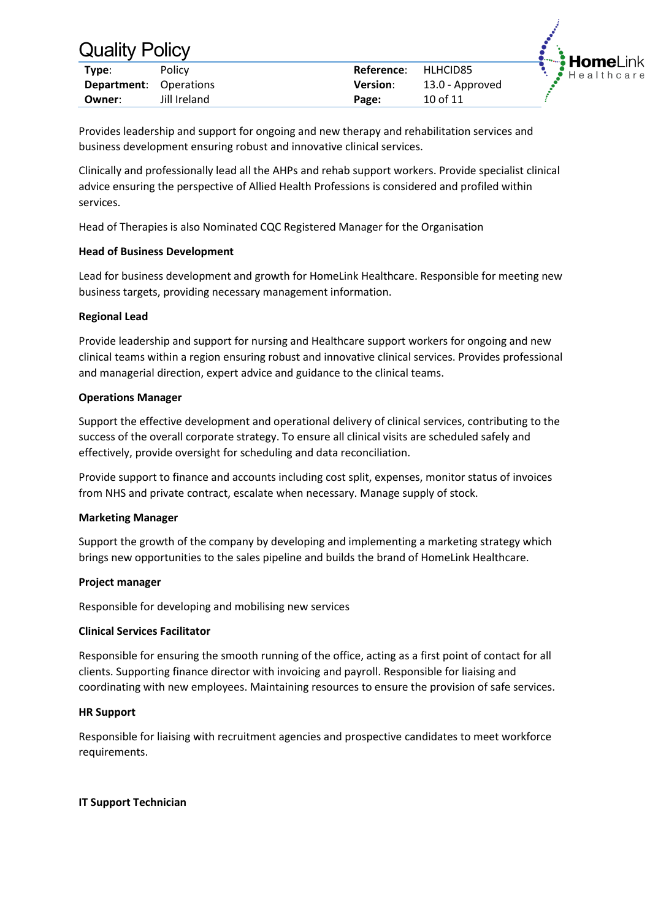| Type:                         | <b>Policy</b> | Reference:      | HLHCID85        |
|-------------------------------|---------------|-----------------|-----------------|
| <b>Department:</b> Operations |               | <b>Version:</b> | 13.0 - Approved |
| Owner:                        | Jill Ireland  | Page:           | 10 of 11        |



Provides leadership and support for ongoing and new therapy and rehabilitation services and business development ensuring robust and innovative clinical services.

Clinically and professionally lead all the AHPs and rehab support workers. Provide specialist clinical advice ensuring the perspective of Allied Health Professions is considered and profiled within services.

Head of Therapies is also Nominated CQC Registered Manager for the Organisation

### **Head of Business Development**

Lead for business development and growth for HomeLink Healthcare. Responsible for meeting new business targets, providing necessary management information.

#### **Regional Lead**

Provide leadership and support for nursing and Healthcare support workers for ongoing and new clinical teams within a region ensuring robust and innovative clinical services. Provides professional and managerial direction, expert advice and guidance to the clinical teams.

#### **Operations Manager**

Support the effective development and operational delivery of clinical services, contributing to the success of the overall corporate strategy. To ensure all clinical visits are scheduled safely and effectively, provide oversight for scheduling and data reconciliation.

Provide support to finance and accounts including cost split, expenses, monitor status of invoices from NHS and private contract, escalate when necessary. Manage supply of stock.

### **Marketing Manager**

Support the growth of the company by developing and implementing a marketing strategy which brings new opportunities to the sales pipeline and builds the brand of HomeLink Healthcare.

#### **Project manager**

Responsible for developing and mobilising new services

### **Clinical Services Facilitator**

Responsible for ensuring the smooth running of the office, acting as a first point of contact for all clients. Supporting finance director with invoicing and payroll. Responsible for liaising and coordinating with new employees. Maintaining resources to ensure the provision of safe services.

### **HR Support**

Responsible for liaising with recruitment agencies and prospective candidates to meet workforce requirements.

### **IT Support Technician**